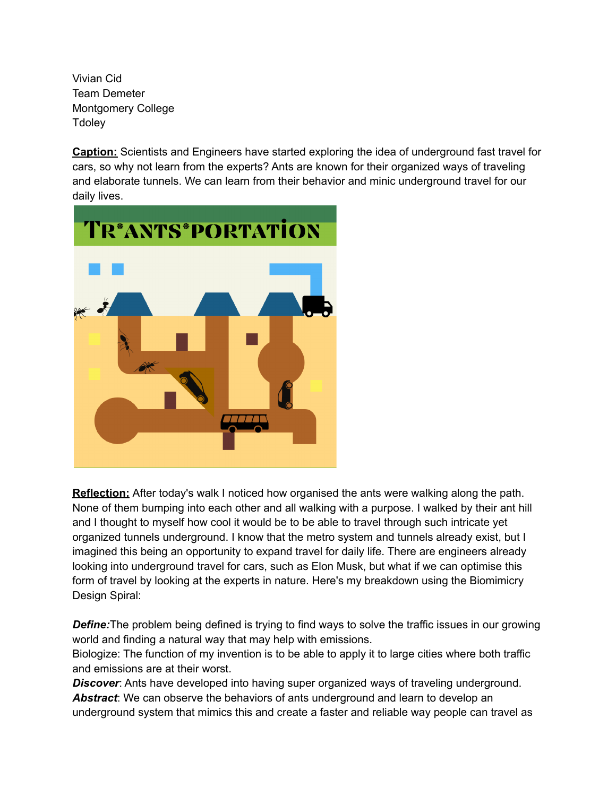Vivian Cid Team Demeter Montgomery College **Tdoley** 

**Caption:** Scientists and Engineers have started exploring the idea of underground fast travel for cars, so why not learn from the experts? Ants are known for their organized ways of traveling and elaborate tunnels. We can learn from their behavior and minic underground travel for our daily lives.



**Reflection:** After today's walk I noticed how organised the ants were walking along the path. None of them bumping into each other and all walking with a purpose. I walked by their ant hill and I thought to myself how cool it would be to be able to travel through such intricate yet organized tunnels underground. I know that the metro system and tunnels already exist, but I imagined this being an opportunity to expand travel for daily life. There are engineers already looking into underground travel for cars, such as Elon Musk, but what if we can optimise this form of travel by looking at the experts in nature. Here's my breakdown using the Biomimicry Design Spiral:

**Define:**The problem being defined is trying to find ways to solve the traffic issues in our growing world and finding a natural way that may help with emissions.

Biologize: The function of my invention is to be able to apply it to large cities where both traffic and emissions are at their worst.

**Discover:** Ants have developed into having super organized ways of traveling underground. *Abstract*: We can observe the behaviors of ants underground and learn to develop an underground system that mimics this and create a faster and reliable way people can travel as